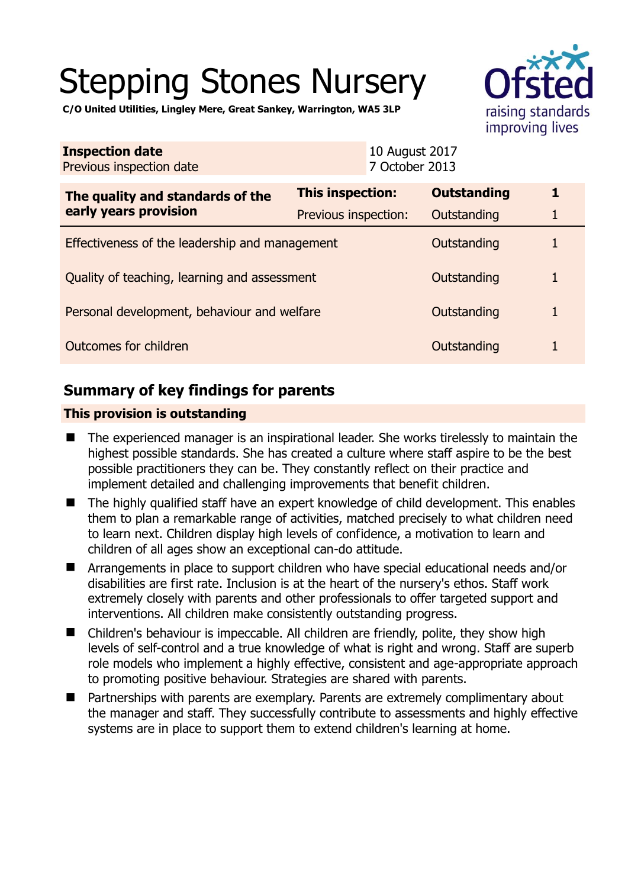# Stepping Stones Nursery



**C/O United Utilities, Lingley Mere, Great Sankey, Warrington, WA5 3LP** 

| <b>Inspection date</b><br>Previous inspection date        | 10 August 2017<br>7 October 2013 |                    |   |
|-----------------------------------------------------------|----------------------------------|--------------------|---|
| The quality and standards of the<br>early years provision | This inspection:                 | <b>Outstanding</b> | 1 |
|                                                           | Previous inspection:             | Outstanding        | 1 |
| Effectiveness of the leadership and management            |                                  | Outstanding        |   |
| Quality of teaching, learning and assessment              |                                  | Outstanding        | 1 |
| Personal development, behaviour and welfare               |                                  | Outstanding        | 1 |
| Outcomes for children                                     |                                  | Outstanding        |   |

# **Summary of key findings for parents**

## **This provision is outstanding**

- The experienced manager is an inspirational leader. She works tirelessly to maintain the highest possible standards. She has created a culture where staff aspire to be the best possible practitioners they can be. They constantly reflect on their practice and implement detailed and challenging improvements that benefit children.
- The highly qualified staff have an expert knowledge of child development. This enables them to plan a remarkable range of activities, matched precisely to what children need to learn next. Children display high levels of confidence, a motivation to learn and children of all ages show an exceptional can-do attitude.
- Arrangements in place to support children who have special educational needs and/or disabilities are first rate. Inclusion is at the heart of the nursery's ethos. Staff work extremely closely with parents and other professionals to offer targeted support and interventions. All children make consistently outstanding progress.
- Children's behaviour is impeccable. All children are friendly, polite, they show high levels of self-control and a true knowledge of what is right and wrong. Staff are superb role models who implement a highly effective, consistent and age-appropriate approach to promoting positive behaviour. Strategies are shared with parents.
- Partnerships with parents are exemplary. Parents are extremely complimentary about the manager and staff. They successfully contribute to assessments and highly effective systems are in place to support them to extend children's learning at home.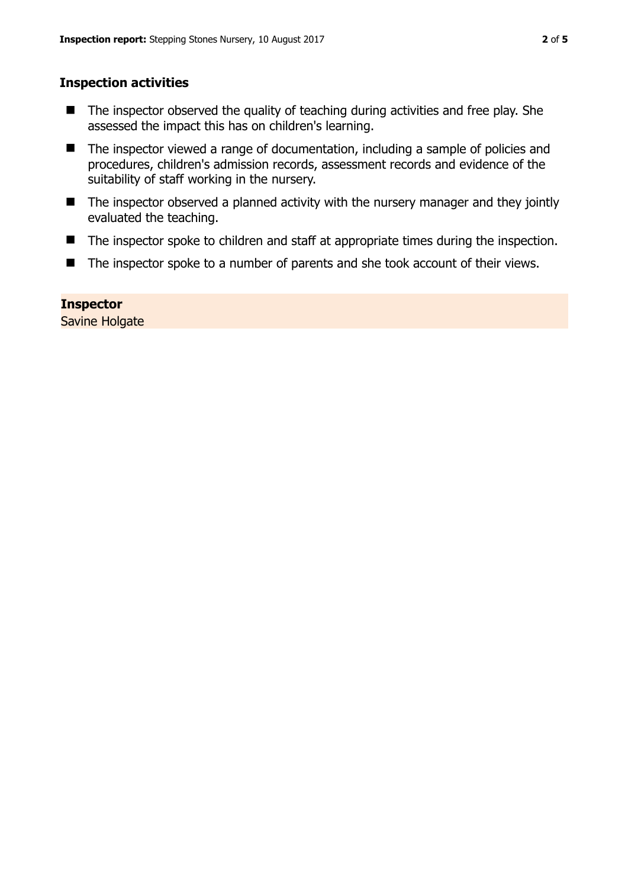## **Inspection activities**

- The inspector observed the quality of teaching during activities and free play. She assessed the impact this has on children's learning.
- The inspector viewed a range of documentation, including a sample of policies and procedures, children's admission records, assessment records and evidence of the suitability of staff working in the nursery.
- The inspector observed a planned activity with the nursery manager and they jointly evaluated the teaching.
- The inspector spoke to children and staff at appropriate times during the inspection.
- The inspector spoke to a number of parents and she took account of their views.

## **Inspector**

Savine Holgate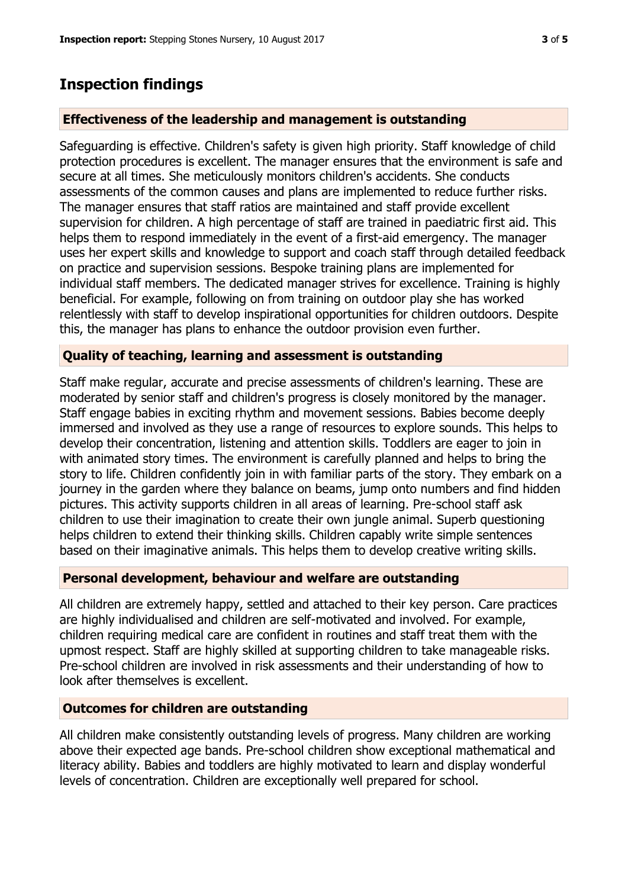## **Inspection findings**

#### **Effectiveness of the leadership and management is outstanding**

Safeguarding is effective. Children's safety is given high priority. Staff knowledge of child protection procedures is excellent. The manager ensures that the environment is safe and secure at all times. She meticulously monitors children's accidents. She conducts assessments of the common causes and plans are implemented to reduce further risks. The manager ensures that staff ratios are maintained and staff provide excellent supervision for children. A high percentage of staff are trained in paediatric first aid. This helps them to respond immediately in the event of a first-aid emergency. The manager uses her expert skills and knowledge to support and coach staff through detailed feedback on practice and supervision sessions. Bespoke training plans are implemented for individual staff members. The dedicated manager strives for excellence. Training is highly beneficial. For example, following on from training on outdoor play she has worked relentlessly with staff to develop inspirational opportunities for children outdoors. Despite this, the manager has plans to enhance the outdoor provision even further.

#### **Quality of teaching, learning and assessment is outstanding**

Staff make regular, accurate and precise assessments of children's learning. These are moderated by senior staff and children's progress is closely monitored by the manager. Staff engage babies in exciting rhythm and movement sessions. Babies become deeply immersed and involved as they use a range of resources to explore sounds. This helps to develop their concentration, listening and attention skills. Toddlers are eager to join in with animated story times. The environment is carefully planned and helps to bring the story to life. Children confidently join in with familiar parts of the story. They embark on a journey in the garden where they balance on beams, jump onto numbers and find hidden pictures. This activity supports children in all areas of learning. Pre-school staff ask children to use their imagination to create their own jungle animal. Superb questioning helps children to extend their thinking skills. Children capably write simple sentences based on their imaginative animals. This helps them to develop creative writing skills.

#### **Personal development, behaviour and welfare are outstanding**

All children are extremely happy, settled and attached to their key person. Care practices are highly individualised and children are self-motivated and involved. For example, children requiring medical care are confident in routines and staff treat them with the upmost respect. Staff are highly skilled at supporting children to take manageable risks. Pre-school children are involved in risk assessments and their understanding of how to look after themselves is excellent.

#### **Outcomes for children are outstanding**

All children make consistently outstanding levels of progress. Many children are working above their expected age bands. Pre-school children show exceptional mathematical and literacy ability. Babies and toddlers are highly motivated to learn and display wonderful levels of concentration. Children are exceptionally well prepared for school.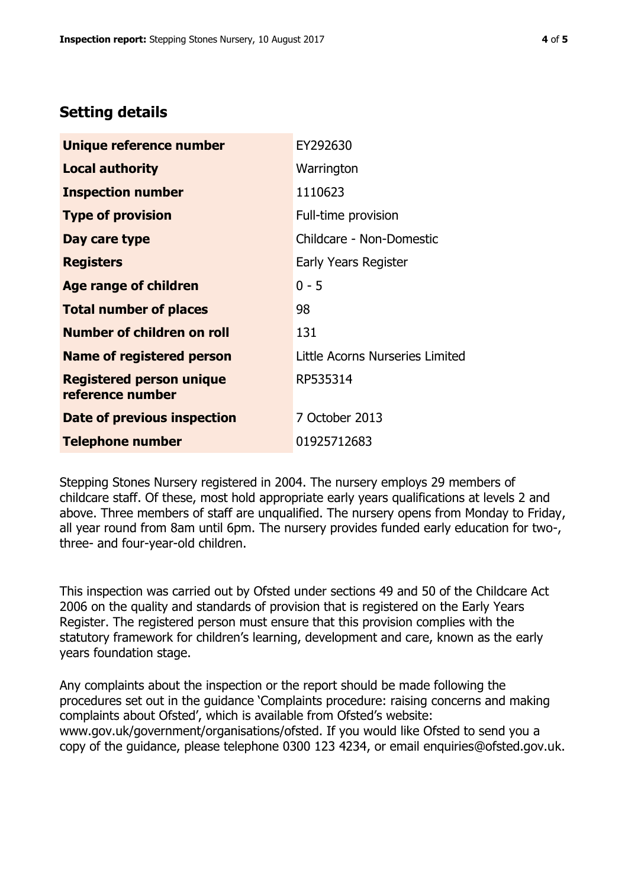# **Setting details**

| Unique reference number                             | EY292630                        |
|-----------------------------------------------------|---------------------------------|
| Local authority                                     | Warrington                      |
| <b>Inspection number</b>                            | 1110623                         |
| <b>Type of provision</b>                            | Full-time provision             |
| Day care type                                       | Childcare - Non-Domestic        |
| <b>Registers</b>                                    | Early Years Register            |
| Age range of children                               | $0 - 5$                         |
| <b>Total number of places</b>                       | 98                              |
| <b>Number of children on roll</b>                   | 131                             |
| Name of registered person                           | Little Acorns Nurseries Limited |
| <b>Registered person unique</b><br>reference number | RP535314                        |
| Date of previous inspection                         | 7 October 2013                  |
| <b>Telephone number</b>                             | 01925712683                     |

Stepping Stones Nursery registered in 2004. The nursery employs 29 members of childcare staff. Of these, most hold appropriate early years qualifications at levels 2 and above. Three members of staff are unqualified. The nursery opens from Monday to Friday, all year round from 8am until 6pm. The nursery provides funded early education for two-, three- and four-year-old children.

This inspection was carried out by Ofsted under sections 49 and 50 of the Childcare Act 2006 on the quality and standards of provision that is registered on the Early Years Register. The registered person must ensure that this provision complies with the statutory framework for children's learning, development and care, known as the early years foundation stage.

Any complaints about the inspection or the report should be made following the procedures set out in the guidance 'Complaints procedure: raising concerns and making complaints about Ofsted', which is available from Ofsted's website: www.gov.uk/government/organisations/ofsted. If you would like Ofsted to send you a copy of the guidance, please telephone 0300 123 4234, or email enquiries@ofsted.gov.uk.